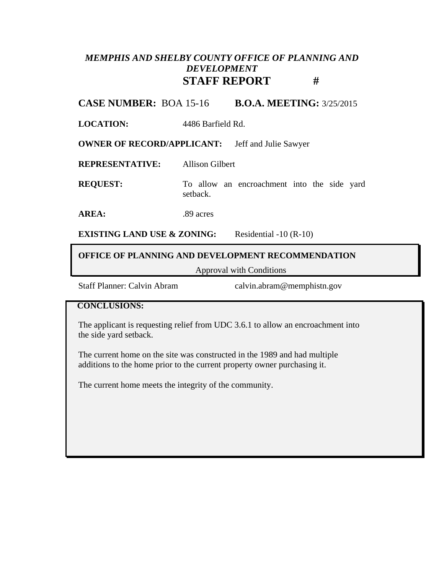## *MEMPHIS AND SHELBY COUNTY OFFICE OF PLANNING AND DEVELOPMENT* **STAFF REPORT #**

**CASE NUMBER:** BOA 15-16 **B.O.A. MEETING:** 3/25/2015

**LOCATION:** 4486 Barfield Rd.

**OWNER OF RECORD/APPLICANT:** Jeff and Julie Sawyer

**REPRESENTATIVE:** Allison Gilbert

**REQUEST:** To allow an encroachment into the side yard setback.

AREA: .89 acres

**EXISTING LAND USE & ZONING:** Residential -10 (R-10)

### **OFFICE OF PLANNING AND DEVELOPMENT RECOMMENDATION**

Approval with Conditions

Staff Planner: Calvin Abram calvin.abram@memphistn.gov

#### **CONCLUSIONS:**

The applicant is requesting relief from UDC 3.6.1 to allow an encroachment into the side yard setback.

The current home on the site was constructed in the 1989 and had multiple additions to the home prior to the current property owner purchasing it.

The current home meets the integrity of the community.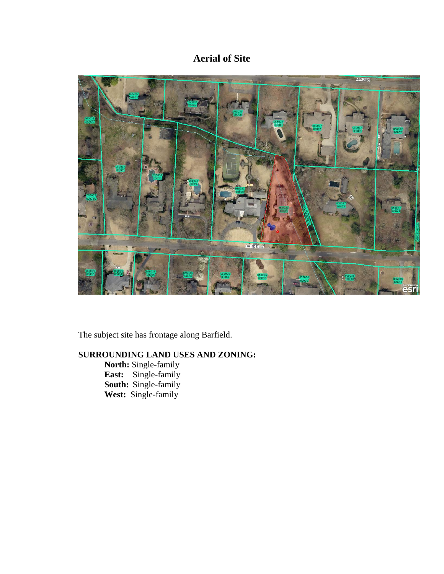# **Aerial of Site**



The subject site has frontage along Barfield.

### **SURROUNDING LAND USES AND ZONING:**

**North:** Single-family **East:** Single-family **South:** Single-family **West:** Single-family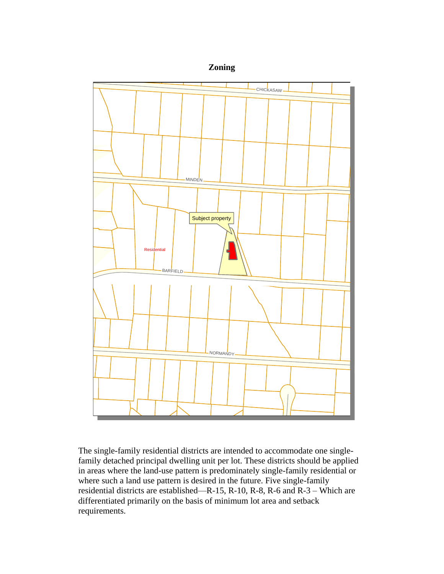



The single-family residential districts are intended to accommodate one singlefamily detached principal dwelling unit per lot. These districts should be applied in areas where the land-use pattern is predominately single-family residential or where such a land use pattern is desired in the future. Five single-family residential districts are established—R-15, R-10, R-8, R-6 and R-3 – Which are differentiated primarily on the basis of minimum lot area and setback requirements.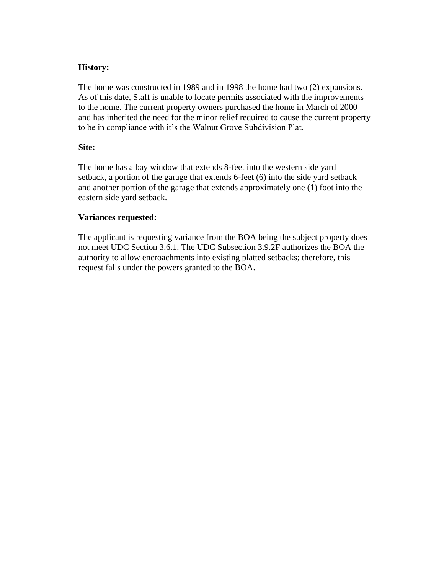#### **History:**

The home was constructed in 1989 and in 1998 the home had two (2) expansions. As of this date, Staff is unable to locate permits associated with the improvements to the home. The current property owners purchased the home in March of 2000 and has inherited the need for the minor relief required to cause the current property to be in compliance with it's the Walnut Grove Subdivision Plat.

### **Site:**

The home has a bay window that extends 8-feet into the western side yard setback, a portion of the garage that extends 6-feet (6) into the side yard setback and another portion of the garage that extends approximately one (1) foot into the eastern side yard setback.

### **Variances requested:**

The applicant is requesting variance from the BOA being the subject property does not meet UDC Section 3.6.1. The UDC Subsection 3.9.2F authorizes the BOA the authority to allow encroachments into existing platted setbacks; therefore, this request falls under the powers granted to the BOA.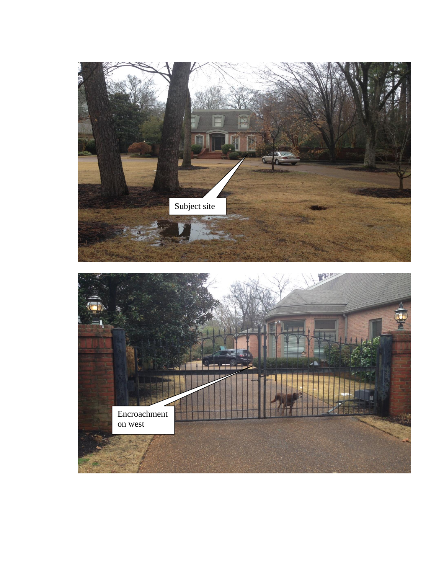

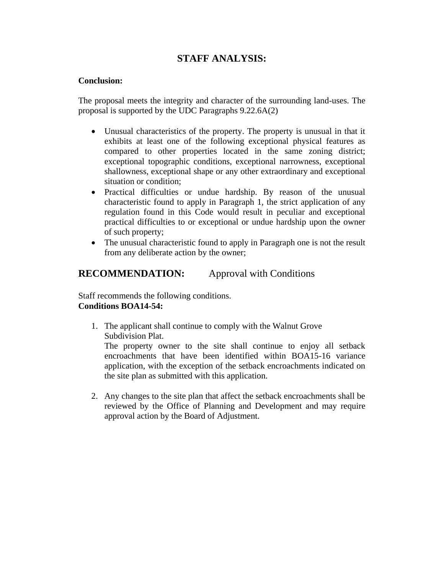### **STAFF ANALYSIS:**

### **Conclusion:**

The proposal meets the integrity and character of the surrounding land-uses. The proposal is supported by the UDC Paragraphs 9.22.6A(2)

- Unusual characteristics of the property. The property is unusual in that it exhibits at least one of the following exceptional physical features as compared to other properties located in the same zoning district; exceptional topographic conditions, exceptional narrowness, exceptional shallowness, exceptional shape or any other extraordinary and exceptional situation or condition;
- Practical difficulties or undue hardship. By reason of the unusual characteristic found to apply in Paragraph 1, the strict application of any regulation found in this Code would result in peculiar and exceptional practical difficulties to or exceptional or undue hardship upon the owner of such property;
- The unusual characteristic found to apply in Paragraph one is not the result from any deliberate action by the owner;

### **RECOMMENDATION:** Approval with Conditions

Staff recommends the following conditions. **Conditions BOA14-54:**

1. The applicant shall continue to comply with the Walnut Grove Subdivision Plat.

The property owner to the site shall continue to enjoy all setback encroachments that have been identified within BOA15-16 variance application, with the exception of the setback encroachments indicated on the site plan as submitted with this application.

2. Any changes to the site plan that affect the setback encroachments shall be reviewed by the Office of Planning and Development and may require approval action by the Board of Adjustment.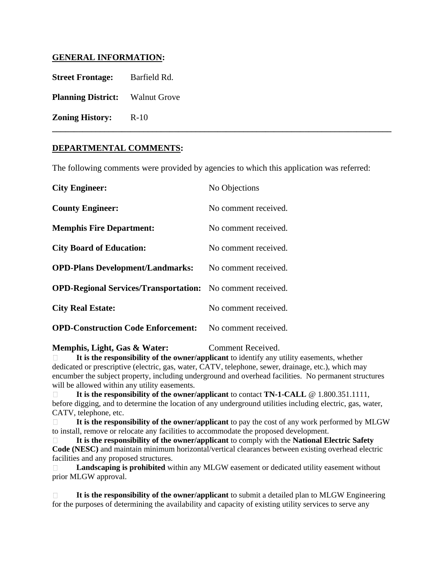### **GENERAL INFORMATION:**

**Street Frontage:** Barfield Rd. **Planning District:** Walnut Grove **Zoning History:** R-10

#### **DEPARTMENTAL COMMENTS:**

The following comments were provided by agencies to which this application was referred:

**\_\_\_\_\_\_\_\_\_\_\_\_\_\_\_\_\_\_\_\_\_\_\_\_\_\_\_\_\_\_\_\_\_\_\_\_\_\_\_\_\_\_\_\_\_\_\_\_\_\_\_\_\_\_\_\_\_\_\_\_\_\_\_\_\_\_\_\_\_\_\_\_\_\_\_\_\_\_**

| <b>City Engineer:</b>                                             | No Objections        |
|-------------------------------------------------------------------|----------------------|
| <b>County Engineer:</b>                                           | No comment received. |
| <b>Memphis Fire Department:</b>                                   | No comment received. |
| <b>City Board of Education:</b>                                   | No comment received. |
| <b>OPD-Plans Development/Landmarks:</b>                           | No comment received. |
| <b>OPD-Regional Services/Transportation:</b> No comment received. |                      |
| <b>City Real Estate:</b>                                          | No comment received. |
| <b>OPD-Construction Code Enforcement:</b>                         | No comment received. |

**Memphis, Light, Gas & Water:** Comment Received.

 **It is the responsibility of the owner/applicant** to identify any utility easements, whether dedicated or prescriptive (electric, gas, water, CATV, telephone, sewer, drainage, etc.), which may encumber the subject property, including underground and overhead facilities. No permanent structures will be allowed within any utility easements.

 **It is the responsibility of the owner/applicant** to contact **TN-1-CALL** @ 1.800.351.1111, before digging, and to determine the location of any underground utilities including electric, gas, water, CATV, telephone, etc.

 **It is the responsibility of the owner/applicant** to pay the cost of any work performed by MLGW to install, remove or relocate any facilities to accommodate the proposed development.

 **It is the responsibility of the owner/applicant** to comply with the **National Electric Safety Code (NESC)** and maintain minimum horizontal/vertical clearances between existing overhead electric facilities and any proposed structures.

 **Landscaping is prohibited** within any MLGW easement or dedicated utility easement without prior MLGW approval.

 **It is the responsibility of the owner/applicant** to submit a detailed plan to MLGW Engineering for the purposes of determining the availability and capacity of existing utility services to serve any